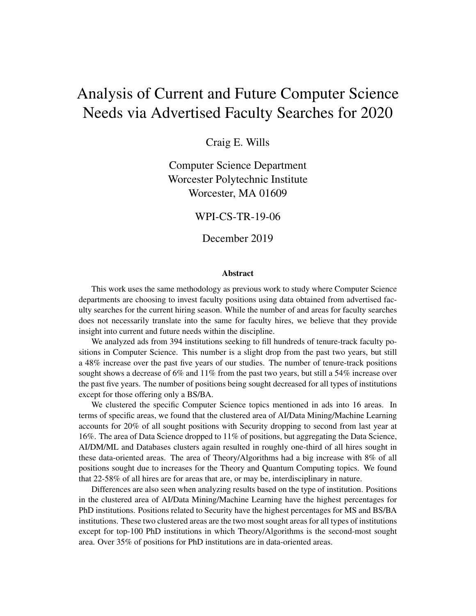# Analysis of Current and Future Computer Science Needs via Advertised Faculty Searches for 2020

Craig E. Wills

Computer Science Department Worcester Polytechnic Institute Worcester, MA 01609

WPI-CS-TR-19-06

December 2019

#### Abstract

This work uses the same methodology as previous work to study where Computer Science departments are choosing to invest faculty positions using data obtained from advertised faculty searches for the current hiring season. While the number of and areas for faculty searches does not necessarily translate into the same for faculty hires, we believe that they provide insight into current and future needs within the discipline.

We analyzed ads from 394 institutions seeking to fill hundreds of tenure-track faculty positions in Computer Science. This number is a slight drop from the past two years, but still a 48% increase over the past five years of our studies. The number of tenure-track positions sought shows a decrease of 6% and 11% from the past two years, but still a 54% increase over the past five years. The number of positions being sought decreased for all types of institutions except for those offering only a BS/BA.

We clustered the specific Computer Science topics mentioned in ads into 16 areas. In terms of specific areas, we found that the clustered area of AI/Data Mining/Machine Learning accounts for 20% of all sought positions with Security dropping to second from last year at 16%. The area of Data Science dropped to 11% of positions, but aggregating the Data Science, AI/DM/ML and Databases clusters again resulted in roughly one-third of all hires sought in these data-oriented areas. The area of Theory/Algorithms had a big increase with 8% of all positions sought due to increases for the Theory and Quantum Computing topics. We found that 22-58% of all hires are for areas that are, or may be, interdisciplinary in nature.

Differences are also seen when analyzing results based on the type of institution. Positions in the clustered area of AI/Data Mining/Machine Learning have the highest percentages for PhD institutions. Positions related to Security have the highest percentages for MS and BS/BA institutions. These two clustered areas are the two most sought areas for all types of institutions except for top-100 PhD institutions in which Theory/Algorithms is the second-most sought area. Over 35% of positions for PhD institutions are in data-oriented areas.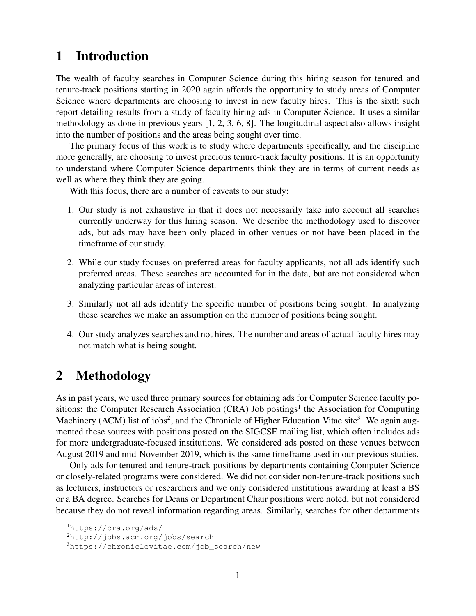# 1 Introduction

The wealth of faculty searches in Computer Science during this hiring season for tenured and tenure-track positions starting in 2020 again affords the opportunity to study areas of Computer Science where departments are choosing to invest in new faculty hires. This is the sixth such report detailing results from a study of faculty hiring ads in Computer Science. It uses a similar methodology as done in previous years [1, 2, 3, 6, 8]. The longitudinal aspect also allows insight into the number of positions and the areas being sought over time.

The primary focus of this work is to study where departments specifically, and the discipline more generally, are choosing to invest precious tenure-track faculty positions. It is an opportunity to understand where Computer Science departments think they are in terms of current needs as well as where they think they are going.

With this focus, there are a number of caveats to our study:

- 1. Our study is not exhaustive in that it does not necessarily take into account all searches currently underway for this hiring season. We describe the methodology used to discover ads, but ads may have been only placed in other venues or not have been placed in the timeframe of our study.
- 2. While our study focuses on preferred areas for faculty applicants, not all ads identify such preferred areas. These searches are accounted for in the data, but are not considered when analyzing particular areas of interest.
- 3. Similarly not all ads identify the specific number of positions being sought. In analyzing these searches we make an assumption on the number of positions being sought.
- 4. Our study analyzes searches and not hires. The number and areas of actual faculty hires may not match what is being sought.

# 2 Methodology

As in past years, we used three primary sources for obtaining ads for Computer Science faculty positions: the Computer Research Association (CRA) Job postings<sup>1</sup> the Association for Computing Machinery (ACM) list of jobs<sup>2</sup>, and the Chronicle of Higher Education Vitae site<sup>3</sup>. We again augmented these sources with positions posted on the SIGCSE mailing list, which often includes ads for more undergraduate-focused institutions. We considered ads posted on these venues between August 2019 and mid-November 2019, which is the same timeframe used in our previous studies.

Only ads for tenured and tenure-track positions by departments containing Computer Science or closely-related programs were considered. We did not consider non-tenure-track positions such as lecturers, instructors or researchers and we only considered institutions awarding at least a BS or a BA degree. Searches for Deans or Department Chair positions were noted, but not considered because they do not reveal information regarding areas. Similarly, searches for other departments

<sup>1</sup>https://cra.org/ads/

<sup>2</sup>http://jobs.acm.org/jobs/search

<sup>3</sup>https://chroniclevitae.com/job\_search/new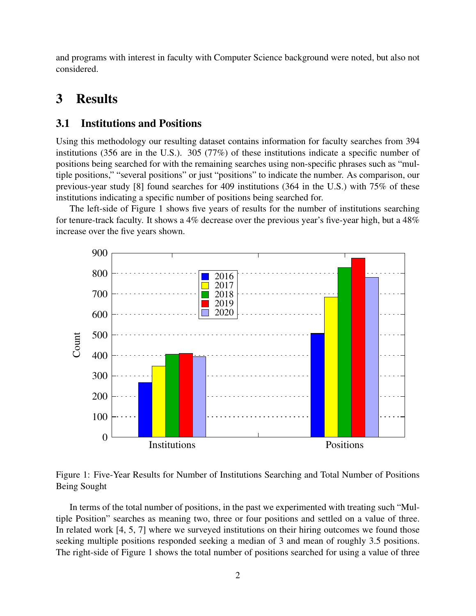and programs with interest in faculty with Computer Science background were noted, but also not considered.

# 3 Results

#### 3.1 Institutions and Positions

Using this methodology our resulting dataset contains information for faculty searches from 394 institutions (356 are in the U.S.). 305 (77%) of these institutions indicate a specific number of positions being searched for with the remaining searches using non-specific phrases such as "multiple positions," "several positions" or just "positions" to indicate the number. As comparison, our previous-year study [8] found searches for 409 institutions (364 in the U.S.) with 75% of these institutions indicating a specific number of positions being searched for.

The left-side of Figure 1 shows five years of results for the number of institutions searching for tenure-track faculty. It shows a 4% decrease over the previous year's five-year high, but a 48% increase over the five years shown.





In terms of the total number of positions, in the past we experimented with treating such "Multiple Position" searches as meaning two, three or four positions and settled on a value of three. In related work [4, 5, 7] where we surveyed institutions on their hiring outcomes we found those seeking multiple positions responded seeking a median of 3 and mean of roughly 3.5 positions. The right-side of Figure 1 shows the total number of positions searched for using a value of three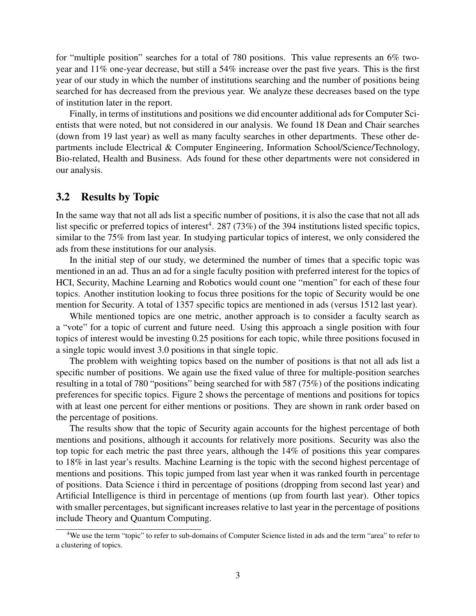for "multiple position" searches for a total of 780 positions. This value represents an 6% twoyear and 11% one-year decrease, but still a 54% increase over the past five years. This is the first year of our study in which the number of institutions searching and the number of positions being searched for has decreased from the previous year. We analyze these decreases based on the type of institution later in the report.

Finally, in terms of institutions and positions we did encounter additional ads for Computer Scientists that were noted, but not considered in our analysis. We found 18 Dean and Chair searches (down from 19 last year) as well as many faculty searches in other departments. These other departments include Electrical & Computer Engineering, Information School/Science/Technology, Bio-related, Health and Business. Ads found for these other departments were not considered in our analysis.

#### 3.2 Results by Topic

In the same way that not all ads list a specific number of positions, it is also the case that not all ads list specific or preferred topics of interest<sup>4</sup>. 287 (73%) of the 394 institutions listed specific topics, similar to the 75% from last year. In studying particular topics of interest, we only considered the ads from these institutions for our analysis.

In the initial step of our study, we determined the number of times that a specific topic was mentioned in an ad. Thus an ad for a single faculty position with preferred interest for the topics of HCI, Security, Machine Learning and Robotics would count one "mention" for each of these four topics. Another institution looking to focus three positions for the topic of Security would be one mention for Security. A total of 1357 specific topics are mentioned in ads (versus 1512 last year).

While mentioned topics are one metric, another approach is to consider a faculty search as a "vote" for a topic of current and future need. Using this approach a single position with four topics of interest would be investing 0.25 positions for each topic, while three positions focused in a single topic would invest 3.0 positions in that single topic.

The problem with weighting topics based on the number of positions is that not all ads list a specific number of positions. We again use the fixed value of three for multiple-position searches resulting in a total of 780 "positions" being searched for with 587 (75%) of the positions indicating preferences for specific topics. Figure 2 shows the percentage of mentions and positions for topics with at least one percent for either mentions or positions. They are shown in rank order based on the percentage of positions.

The results show that the topic of Security again accounts for the highest percentage of both mentions and positions, although it accounts for relatively more positions. Security was also the top topic for each metric the past three years, although the 14% of positions this year compares to 18% in last year's results. Machine Learning is the topic with the second highest percentage of mentions and positions. This topic jumped from last year when it was ranked fourth in percentage of positions. Data Science i third in percentage of positions (dropping from second last year) and Artificial Intelligence is third in percentage of mentions (up from fourth last year). Other topics with smaller percentages, but significant increases relative to last year in the percentage of positions include Theory and Quantum Computing.

<sup>4</sup>We use the term "topic" to refer to sub-domains of Computer Science listed in ads and the term "area" to refer to a clustering of topics.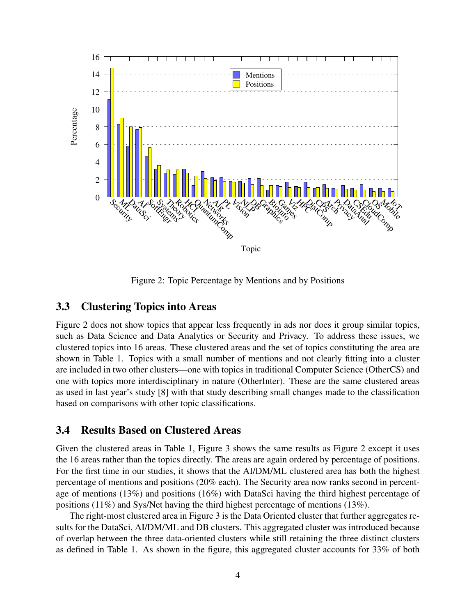

Figure 2: Topic Percentage by Mentions and by Positions

#### 3.3 Clustering Topics into Areas

Figure 2 does not show topics that appear less frequently in ads nor does it group similar topics, such as Data Science and Data Analytics or Security and Privacy. To address these issues, we clustered topics into 16 areas. These clustered areas and the set of topics constituting the area are shown in Table 1. Topics with a small number of mentions and not clearly fitting into a cluster are included in two other clusters—one with topics in traditional Computer Science (OtherCS) and one with topics more interdisciplinary in nature (OtherInter). These are the same clustered areas as used in last year's study [8] with that study describing small changes made to the classification based on comparisons with other topic classifications.

### 3.4 Results Based on Clustered Areas

Given the clustered areas in Table 1, Figure 3 shows the same results as Figure 2 except it uses the 16 areas rather than the topics directly. The areas are again ordered by percentage of positions. For the first time in our studies, it shows that the AI/DM/ML clustered area has both the highest percentage of mentions and positions (20% each). The Security area now ranks second in percentage of mentions (13%) and positions (16%) with DataSci having the third highest percentage of positions (11%) and Sys/Net having the third highest percentage of mentions (13%).

The right-most clustered area in Figure 3 is the Data Oriented cluster that further aggregates results for the DataSci, AI/DM/ML and DB clusters. This aggregated cluster was introduced because of overlap between the three data-oriented clusters while still retaining the three distinct clusters as defined in Table 1. As shown in the figure, this aggregated cluster accounts for 33% of both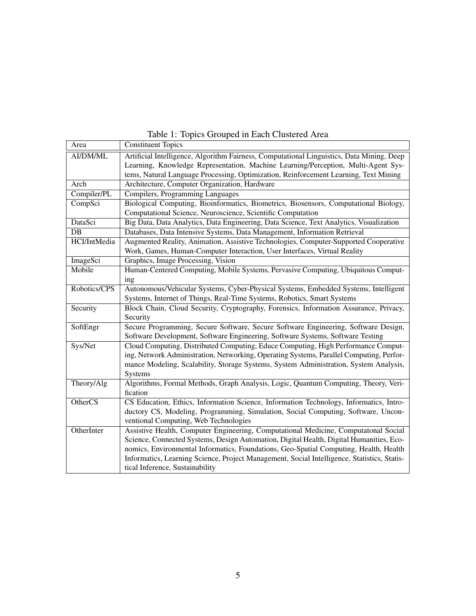| Area            | <b>Constituent Topics</b>                                                                   |
|-----------------|---------------------------------------------------------------------------------------------|
| AI/DM/ML        | Artificial Intelligence, Algorithm Fairness, Computational Linguistics, Data Mining, Deep   |
|                 | Learning, Knowledge Representation, Machine Learning/Perception, Multi-Agent Sys-           |
|                 | tems, Natural Language Processing, Optimization, Reinforcement Learning, Text Mining        |
| Arch            | Architecture, Computer Organization, Hardware                                               |
| Compiler/PL     | Compilers, Programming Languages                                                            |
| CompSci         | Biological Computing, Bioinformatics, Biometrics, Biosensors, Computational Biology,        |
|                 | Computational Science, Neuroscience, Scientific Computation                                 |
| DataSci         | Big Data, Data Analytics, Data Engineering, Data Science, Text Analytics, Visualization     |
| $\overline{DB}$ | Databases, Data Intensive Systems, Data Management, Information Retrieval                   |
| HCI/IntMedia    | Augmented Reality, Animation, Assistive Technologies, Computer-Supported Cooperative        |
|                 | Work, Games, Human-Computer Interaction, User Interfaces, Virtual Reality                   |
| ImageSci        | Graphics, Image Processing, Vision                                                          |
| Mobile          | Human-Centered Computing, Mobile Systems, Pervasive Computing, Ubiquitous Comput-           |
|                 | ing                                                                                         |
| Robotics/CPS    | Autonomous/Vehicular Systems, Cyber-Physical Systems, Embedded Systems, Intelligent         |
|                 | Systems, Internet of Things, Real-Time Systems, Robotics, Smart Systems                     |
| Security        | Block Chain, Cloud Security, Cryptography, Forensics, Information Assurance, Privacy,       |
|                 | Security                                                                                    |
| SoftEngr        | Secure Programming, Secure Software, Secure Software Engineering, Software Design,          |
|                 | Software Development, Software Engineering, Software Systems, Software Testing              |
| Sys/Net         | Cloud Computing, Distributed Computing, Educe Computing, High Performance Comput-           |
|                 | ing, Network Administration, Networking, Operating Systems, Parallel Computing, Perfor-     |
|                 | mance Modeling, Scalability, Storage Systems, System Administration, System Analysis,       |
|                 | Systems                                                                                     |
| Theory/Alg      | Algorithms, Formal Methods, Graph Analysis, Logic, Quantum Computing, Theory, Veri-         |
|                 | fication                                                                                    |
| OtherCS         | CS Education, Ethics, Information Science, Information Technology, Informatics, Intro-      |
|                 | ductory CS, Modeling, Programming, Simulation, Social Computing, Software, Uncon-           |
|                 | ventional Computing, Web Technologies                                                       |
| OtherInter      | Assistive Health, Computer Engineering, Computational Medicine, Computatonal Social         |
|                 | Science, Connected Systems, Design Automation, Digital Health, Digital Humanities, Eco-     |
|                 | nomics, Environmental Informatics, Foundations, Geo-Spatial Computing, Health, Health       |
|                 | Informatics, Learning Science, Project Management, Social Intelligence, Statistics, Statis- |
|                 | tical Inference, Sustainability                                                             |

Table 1: Topics Grouped in Each Clustered Area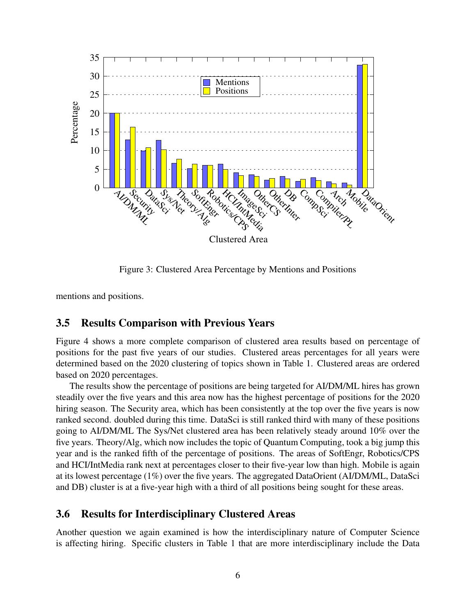

Figure 3: Clustered Area Percentage by Mentions and Positions

mentions and positions.

### 3.5 Results Comparison with Previous Years

Figure 4 shows a more complete comparison of clustered area results based on percentage of positions for the past five years of our studies. Clustered areas percentages for all years were determined based on the 2020 clustering of topics shown in Table 1. Clustered areas are ordered based on 2020 percentages.

The results show the percentage of positions are being targeted for AI/DM/ML hires has grown steadily over the five years and this area now has the highest percentage of positions for the 2020 hiring season. The Security area, which has been consistently at the top over the five years is now ranked second. doubled during this time. DataSci is still ranked third with many of these positions going to AI/DM/ML The Sys/Net clustered area has been relatively steady around 10% over the five years. Theory/Alg, which now includes the topic of Quantum Computing, took a big jump this year and is the ranked fifth of the percentage of positions. The areas of SoftEngr, Robotics/CPS and HCI/IntMedia rank next at percentages closer to their five-year low than high. Mobile is again at its lowest percentage (1%) over the five years. The aggregated DataOrient (AI/DM/ML, DataSci and DB) cluster is at a five-year high with a third of all positions being sought for these areas.

### 3.6 Results for Interdisciplinary Clustered Areas

Another question we again examined is how the interdisciplinary nature of Computer Science is affecting hiring. Specific clusters in Table 1 that are more interdisciplinary include the Data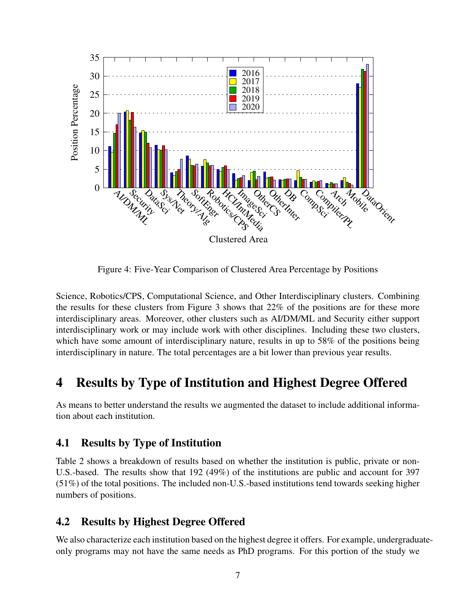

Figure 4: Five-Year Comparison of Clustered Area Percentage by Positions

Science, Robotics/CPS, Computational Science, and Other Interdisciplinary clusters. Combining the results for these clusters from Figure 3 shows that 22% of the positions are for these more interdisciplinary areas. Moreover, other clusters such as AI/DM/ML and Security either support interdisciplinary work or may include work with other disciplines. Including these two clusters, which have some amount of interdisciplinary nature, results in up to 58% of the positions being interdisciplinary in nature. The total percentages are a bit lower than previous year results.

# 4 Results by Type of Institution and Highest Degree Offered

As means to better understand the results we augmented the dataset to include additional information about each institution.

### 4.1 Results by Type of Institution

Table 2 shows a breakdown of results based on whether the institution is public, private or non-U.S.-based. The results show that 192 (49%) of the institutions are public and account for 397 (51%) of the total positions. The included non-U.S.-based institutions tend towards seeking higher numbers of positions.

### 4.2 Results by Highest Degree Offered

We also characterize each institution based on the highest degree it offers. For example, undergraduateonly programs may not have the same needs as PhD programs. For this portion of the study we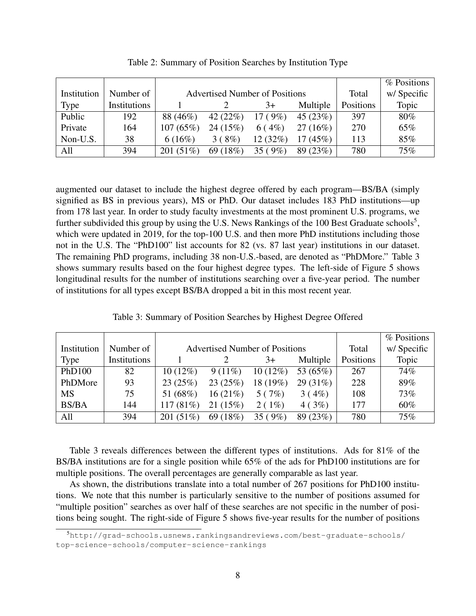|             |              |              |                                       |         |             |           | % Positions |
|-------------|--------------|--------------|---------------------------------------|---------|-------------|-----------|-------------|
| Institution | Number of    |              | <b>Advertised Number of Positions</b> | Total   | w/ Specific |           |             |
| Type        | Institutions |              |                                       | $3+$    | Multiple    | Positions | Topic       |
| Public      | 192          | 88 (46%)     | 42 $(22%)$                            | 17(9%)  | 45(23%)     | 397       | 80%         |
| Private     | 164          | 107(65%)     | 24(15%)                               | 6(4%)   | 27(16%)     | 270       | 65%         |
| Non-U.S.    | 38           | 6(16%)       | 3(8%)                                 | 12(32%) | $17(45\%)$  | 113       | 85%         |
| All         | 394          | 201 $(51\%)$ | 69 (18%)                              | 35(9%)  | 89(23%)     | 780       | 75%         |

Table 2: Summary of Position Searches by Institution Type

augmented our dataset to include the highest degree offered by each program—BS/BA (simply signified as BS in previous years), MS or PhD. Our dataset includes 183 PhD institutions—up from 178 last year. In order to study faculty investments at the most prominent U.S. programs, we further subdivided this group by using the U.S. News Rankings of the 100 Best Graduate schools<sup>5</sup>, which were updated in 2019, for the top-100 U.S. and then more PhD institutions including those not in the U.S. The "PhD100" list accounts for 82 (vs. 87 last year) institutions in our dataset. The remaining PhD programs, including 38 non-U.S.-based, are denoted as "PhDMore." Table 3 shows summary results based on the four highest degree types. The left-side of Figure 5 shows longitudinal results for the number of institutions searching over a five-year period. The number of institutions for all types except BS/BA dropped a bit in this most recent year.

|  | Table 3: Summary of Position Searches by Highest Degree Offered |  |  |  |
|--|-----------------------------------------------------------------|--|--|--|
|  |                                                                 |  |  |  |

|              |              |            |                                       |            |             |           | % Positions |
|--------------|--------------|------------|---------------------------------------|------------|-------------|-----------|-------------|
| Institution  | Number of    |            | <b>Advertised Number of Positions</b> | Total      | w/ Specific |           |             |
| Type         | Institutions |            |                                       | $3+$       | Multiple    | Positions | Topic       |
| PhD100       | 82           | $10(12\%)$ | $9(11\%)$                             | $10(12\%)$ | 53 (65%)    | 267       | 74%         |
| PhDMore      | 93           | 23(25%)    | 23(25%)                               | 18 (19%)   | 29(31%)     | 228       | 89%         |
| <b>MS</b>    | 75           | 51 (68%)   | 16(21%)                               | 5(7%)      | 3(4%)       | 108       | 73%         |
| <b>BS/BA</b> | 144          | 117(81%)   | 21(15%)                               | 2(1%)      | 4(3%)       | 177       | 60%         |
| All          | 394          | 201(51%)   | 69 (18%)                              | 35(9%)     | 89 (23%)    | 780       | 75%         |

Table 3 reveals differences between the different types of institutions. Ads for 81% of the BS/BA institutions are for a single position while 65% of the ads for PhD100 institutions are for multiple positions. The overall percentages are generally comparable as last year.

As shown, the distributions translate into a total number of 267 positions for PhD100 institutions. We note that this number is particularly sensitive to the number of positions assumed for "multiple position" searches as over half of these searches are not specific in the number of positions being sought. The right-side of Figure 5 shows five-year results for the number of positions

<sup>5</sup>http://grad-schools.usnews.rankingsandreviews.com/best-graduate-schools/ top-science-schools/computer-science-rankings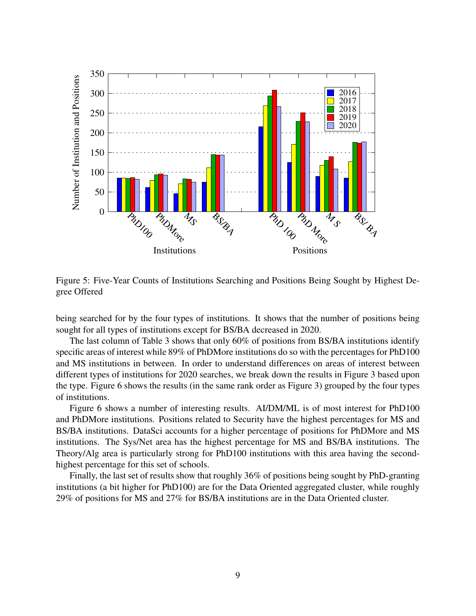

Figure 5: Five-Year Counts of Institutions Searching and Positions Being Sought by Highest Degree Offered

being searched for by the four types of institutions. It shows that the number of positions being sought for all types of institutions except for BS/BA decreased in 2020.

The last column of Table 3 shows that only  $60\%$  of positions from BS/BA institutions identify specific areas of interest while 89% of PhDMore institutions do so with the percentages for PhD100 and MS institutions in between. In order to understand differences on areas of interest between different types of institutions for 2020 searches, we break down the results in Figure 3 based upon the type. Figure 6 shows the results (in the same rank order as Figure 3) grouped by the four types of institutions.

Figure 6 shows a number of interesting results. AI/DM/ML is of most interest for PhD100 and PhDMore institutions. Positions related to Security have the highest percentages for MS and BS/BA institutions. DataSci accounts for a higher percentage of positions for PhDMore and MS institutions. The Sys/Net area has the highest percentage for MS and BS/BA institutions. The Theory/Alg area is particularly strong for PhD100 institutions with this area having the secondhighest percentage for this set of schools.

Finally, the last set of results show that roughly 36% of positions being sought by PhD-granting institutions (a bit higher for PhD100) are for the Data Oriented aggregated cluster, while roughly 29% of positions for MS and 27% for BS/BA institutions are in the Data Oriented cluster.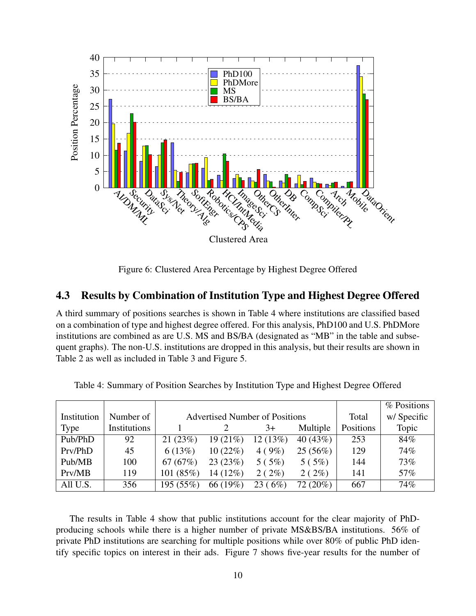

Figure 6: Clustered Area Percentage by Highest Degree Offered

### 4.3 Results by Combination of Institution Type and Highest Degree Offered

A third summary of positions searches is shown in Table 4 where institutions are classified based on a combination of type and highest degree offered. For this analysis, PhD100 and U.S. PhDMore institutions are combined as are U.S. MS and BS/BA (designated as "MB" in the table and subsequent graphs). The non-U.S. institutions are dropped in this analysis, but their results are shown in Table 2 as well as included in Table 3 and Figure 5.

|             |              |           |                                       |         |             |           | % Positions |
|-------------|--------------|-----------|---------------------------------------|---------|-------------|-----------|-------------|
| Institution | Number of    |           | <b>Advertised Number of Positions</b> | Total   | w/ Specific |           |             |
| Type        | Institutions |           |                                       | $3+$    | Multiple    | Positions | Topic       |
| Pub/PhD     | 92           | 21(23%)   | 19(21%)                               | 12(13%) | 40(43%)     | 253       | 84%         |
| Prv/PhD     | 45           | 6(13%)    | 10(22%)                               | 4(9%)   | 25(56%)     | 129       | 74%         |
| Pub/MB      | 100          | 67(67%)   | 23(23%)                               | 5(5%)   | 5(5%)       | 144       | 73%         |
| Prv/MB      | 119          | 101(85%)  | 14 (12%)                              | 2(2%)   | 2(2%)       | 141       | 57%         |
| All U.S.    | 356          | 195 (55%) | 66 (19%)                              | 23(6%)  | $72(20\%)$  | 667       | 74%         |

Table 4: Summary of Position Searches by Institution Type and Highest Degree Offered

The results in Table 4 show that public institutions account for the clear majority of PhDproducing schools while there is a higher number of private MS&BS/BA institutions. 56% of private PhD institutions are searching for multiple positions while over 80% of public PhD identify specific topics on interest in their ads. Figure 7 shows five-year results for the number of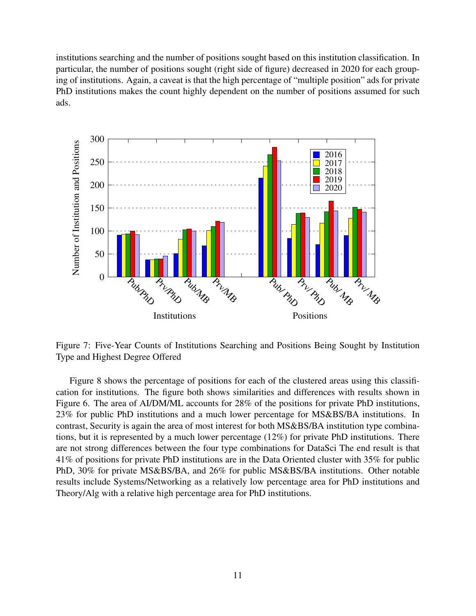institutions searching and the number of positions sought based on this institution classification. In particular, the number of positions sought (right side of figure) decreased in 2020 for each grouping of institutions. Again, a caveat is that the high percentage of "multiple position" ads for private PhD institutions makes the count highly dependent on the number of positions assumed for such ads.



Figure 7: Five-Year Counts of Institutions Searching and Positions Being Sought by Institution Type and Highest Degree Offered

Figure 8 shows the percentage of positions for each of the clustered areas using this classification for institutions. The figure both shows similarities and differences with results shown in Figure 6. The area of AI/DM/ML accounts for 28% of the positions for private PhD institutions, 23% for public PhD institutions and a much lower percentage for MS&BS/BA institutions. In contrast, Security is again the area of most interest for both MS&BS/BA institution type combinations, but it is represented by a much lower percentage (12%) for private PhD institutions. There are not strong differences between the four type combinations for DataSci The end result is that 41% of positions for private PhD institutions are in the Data Oriented cluster with 35% for public PhD, 30% for private MS&BS/BA, and 26% for public MS&BS/BA institutions. Other notable results include Systems/Networking as a relatively low percentage area for PhD institutions and Theory/Alg with a relative high percentage area for PhD institutions.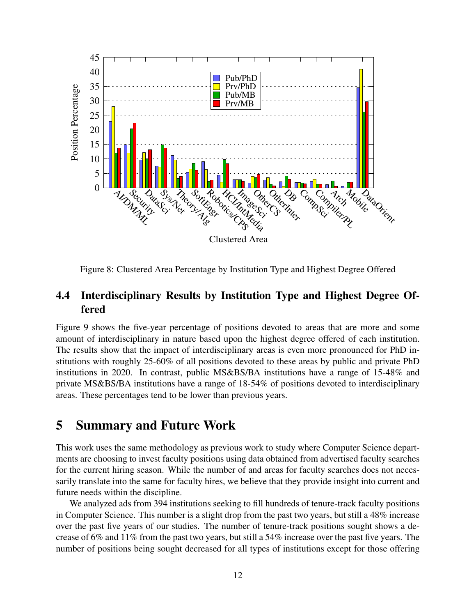

Figure 8: Clustered Area Percentage by Institution Type and Highest Degree Offered

### 4.4 Interdisciplinary Results by Institution Type and Highest Degree Offered

Figure 9 shows the five-year percentage of positions devoted to areas that are more and some amount of interdisciplinary in nature based upon the highest degree offered of each institution. The results show that the impact of interdisciplinary areas is even more pronounced for PhD institutions with roughly 25-60% of all positions devoted to these areas by public and private PhD institutions in 2020. In contrast, public MS&BS/BA institutions have a range of 15-48% and private MS&BS/BA institutions have a range of 18-54% of positions devoted to interdisciplinary areas. These percentages tend to be lower than previous years.

# 5 Summary and Future Work

This work uses the same methodology as previous work to study where Computer Science departments are choosing to invest faculty positions using data obtained from advertised faculty searches for the current hiring season. While the number of and areas for faculty searches does not necessarily translate into the same for faculty hires, we believe that they provide insight into current and future needs within the discipline.

We analyzed ads from 394 institutions seeking to fill hundreds of tenure-track faculty positions in Computer Science. This number is a slight drop from the past two years, but still a 48% increase over the past five years of our studies. The number of tenure-track positions sought shows a decrease of 6% and 11% from the past two years, but still a 54% increase over the past five years. The number of positions being sought decreased for all types of institutions except for those offering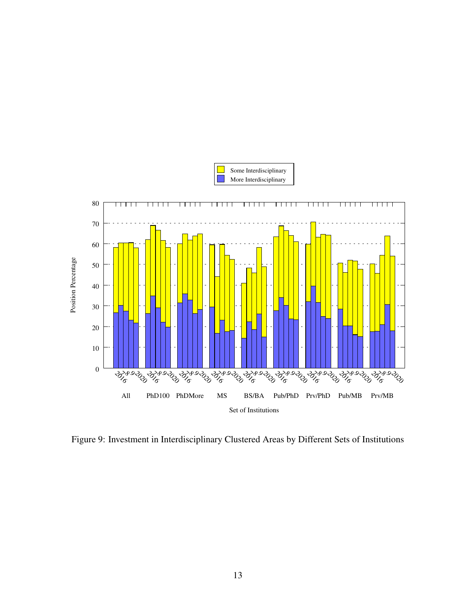

Figure 9: Investment in Interdisciplinary Clustered Areas by Different Sets of Institutions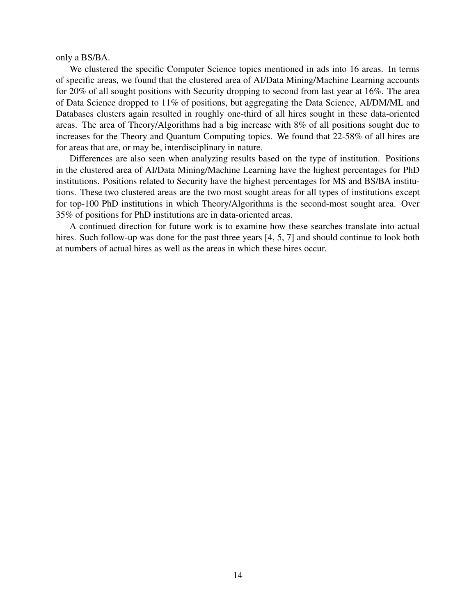only a BS/BA.

We clustered the specific Computer Science topics mentioned in ads into 16 areas. In terms of specific areas, we found that the clustered area of AI/Data Mining/Machine Learning accounts for 20% of all sought positions with Security dropping to second from last year at 16%. The area of Data Science dropped to 11% of positions, but aggregating the Data Science, AI/DM/ML and Databases clusters again resulted in roughly one-third of all hires sought in these data-oriented areas. The area of Theory/Algorithms had a big increase with 8% of all positions sought due to increases for the Theory and Quantum Computing topics. We found that 22-58% of all hires are for areas that are, or may be, interdisciplinary in nature.

Differences are also seen when analyzing results based on the type of institution. Positions in the clustered area of AI/Data Mining/Machine Learning have the highest percentages for PhD institutions. Positions related to Security have the highest percentages for MS and BS/BA institutions. These two clustered areas are the two most sought areas for all types of institutions except for top-100 PhD institutions in which Theory/Algorithms is the second-most sought area. Over 35% of positions for PhD institutions are in data-oriented areas.

A continued direction for future work is to examine how these searches translate into actual hires. Such follow-up was done for the past three years [4, 5, 7] and should continue to look both at numbers of actual hires as well as the areas in which these hires occur.